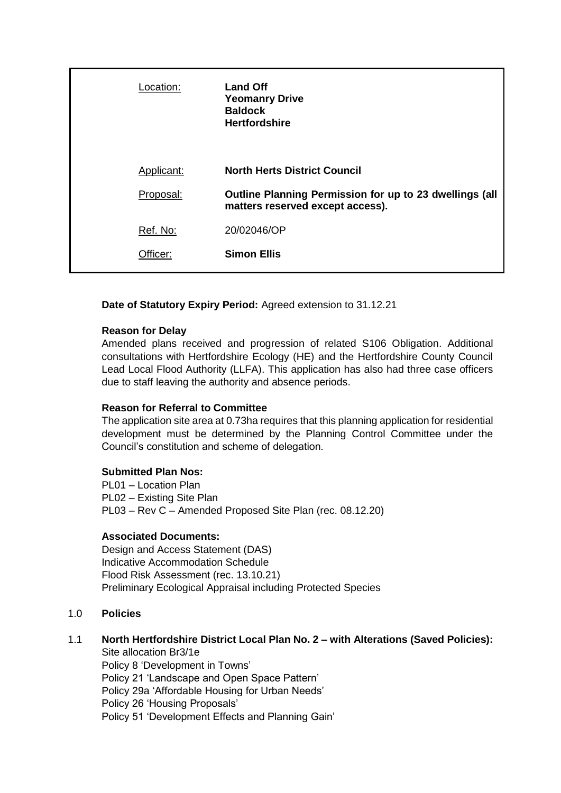| Location:  | <b>Land Off</b><br><b>Yeomanry Drive</b><br><b>Baldock</b><br><b>Hertfordshire</b>          |
|------------|---------------------------------------------------------------------------------------------|
| Applicant: | <b>North Herts District Council</b>                                                         |
| Proposal:  | Outline Planning Permission for up to 23 dwellings (all<br>matters reserved except access). |
| Ref. No:   | 20/02046/OP                                                                                 |
| Officer:   | <b>Simon Ellis</b>                                                                          |

**Date of Statutory Expiry Period:** Agreed extension to 31.12.21

#### **Reason for Delay**

Amended plans received and progression of related S106 Obligation. Additional consultations with Hertfordshire Ecology (HE) and the Hertfordshire County Council Lead Local Flood Authority (LLFA). This application has also had three case officers due to staff leaving the authority and absence periods.

#### **Reason for Referral to Committee**

The application site area at 0.73ha requires that this planning application for residential development must be determined by the Planning Control Committee under the Council's constitution and scheme of delegation.

#### **Submitted Plan Nos:**

PL01 – Location Plan PL02 – Existing Site Plan PL03 – Rev C – Amended Proposed Site Plan (rec. 08.12.20)

#### **Associated Documents:**

Design and Access Statement (DAS) Indicative Accommodation Schedule Flood Risk Assessment (rec. 13.10.21) Preliminary Ecological Appraisal including Protected Species

# 1.0 **Policies**

# 1.1 **North Hertfordshire District Local Plan No. 2 – with Alterations (Saved Policies):**

Site allocation Br3/1e Policy 8 'Development in Towns' Policy 21 'Landscape and Open Space Pattern' Policy 29a 'Affordable Housing for Urban Needs' Policy 26 'Housing Proposals' Policy 51 'Development Effects and Planning Gain'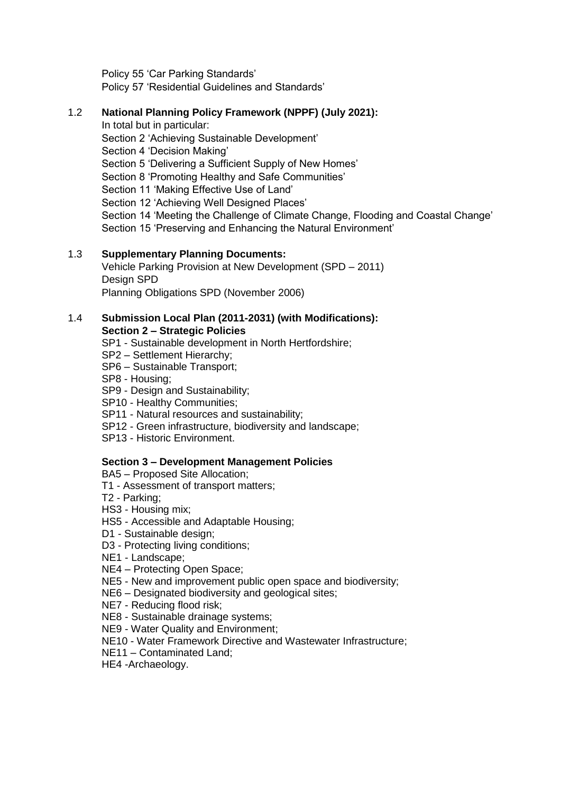Policy 55 'Car Parking Standards' Policy 57 'Residential Guidelines and Standards'

## 1.2 **National Planning Policy Framework (NPPF) (July 2021):**

In total but in particular: Section 2 'Achieving Sustainable Development' Section 4 'Decision Making' Section 5 'Delivering a Sufficient Supply of New Homes' Section 8 'Promoting Healthy and Safe Communities' Section 11 'Making Effective Use of Land' Section 12 'Achieving Well Designed Places' Section 14 'Meeting the Challenge of Climate Change, Flooding and Coastal Change' Section 15 'Preserving and Enhancing the Natural Environment'

# 1.3 **Supplementary Planning Documents:**

Vehicle Parking Provision at New Development (SPD – 2011) Design SPD Planning Obligations SPD (November 2006)

#### 1.4 **Submission Local Plan (2011-2031) (with Modifications): Section 2 – Strategic Policies**

- SP1 Sustainable development in North Hertfordshire;
- SP2 Settlement Hierarchy;
- SP6 Sustainable Transport;
- SP8 Housing;
- SP9 Design and Sustainability;
- SP10 Healthy Communities;
- SP11 Natural resources and sustainability;
- SP12 Green infrastructure, biodiversity and landscape;
- SP13 Historic Environment.

#### **Section 3 – Development Management Policies**

BA5 – Proposed Site Allocation;

- T1 Assessment of transport matters;
- T2 Parking;
- HS3 Housing mix;
- HS5 Accessible and Adaptable Housing;
- D1 Sustainable design:
- D3 Protecting living conditions;
- NE1 Landscape;
- NE4 Protecting Open Space;
- NE5 New and improvement public open space and biodiversity;
- NE6 Designated biodiversity and geological sites;
- NE7 Reducing flood risk;
- NE8 Sustainable drainage systems;
- NE9 Water Quality and Environment;
- NE10 Water Framework Directive and Wastewater Infrastructure;
- NE11 Contaminated Land;
- HE4 -Archaeology.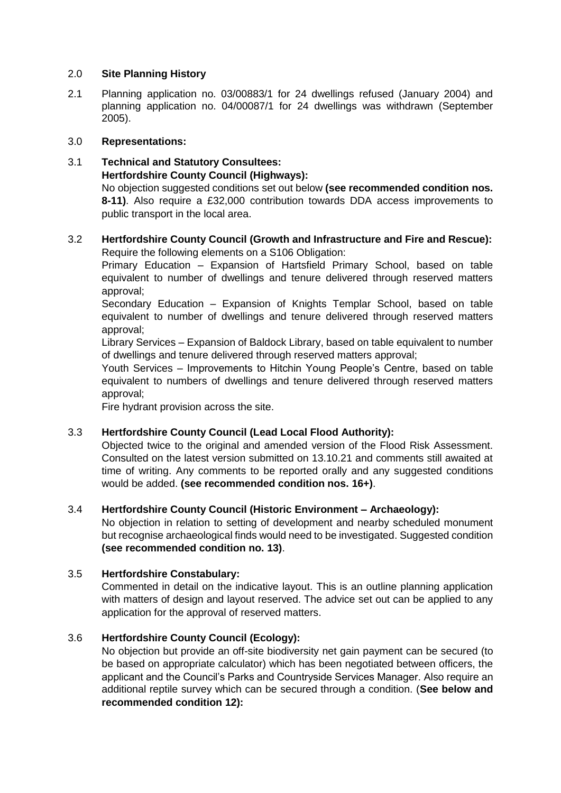#### 2.0 **Site Planning History**

2.1 Planning application no. 03/00883/1 for 24 dwellings refused (January 2004) and planning application no. 04/00087/1 for 24 dwellings was withdrawn (September 2005).

#### 3.0 **Representations:**

#### 3.1 **Technical and Statutory Consultees: Hertfordshire County Council (Highways):** No objection suggested conditions set out below **(see recommended condition nos. 8-11)**. Also require a £32,000 contribution towards DDA access improvements to public transport in the local area.

## 3.2 **Hertfordshire County Council (Growth and Infrastructure and Fire and Rescue):** Require the following elements on a S106 Obligation:

Primary Education – Expansion of Hartsfield Primary School, based on table equivalent to number of dwellings and tenure delivered through reserved matters approval;

Secondary Education – Expansion of Knights Templar School, based on table equivalent to number of dwellings and tenure delivered through reserved matters approval;

Library Services – Expansion of Baldock Library, based on table equivalent to number of dwellings and tenure delivered through reserved matters approval;

Youth Services – Improvements to Hitchin Young People's Centre, based on table equivalent to numbers of dwellings and tenure delivered through reserved matters approval;

Fire hydrant provision across the site.

#### 3.3 **Hertfordshire County Council (Lead Local Flood Authority):**

Objected twice to the original and amended version of the Flood Risk Assessment. Consulted on the latest version submitted on 13.10.21 and comments still awaited at time of writing. Any comments to be reported orally and any suggested conditions would be added. **(see recommended condition nos. 16+)**.

#### 3.4 **Hertfordshire County Council (Historic Environment – Archaeology):**

No objection in relation to setting of development and nearby scheduled monument but recognise archaeological finds would need to be investigated. Suggested condition **(see recommended condition no. 13)**.

#### 3.5 **Hertfordshire Constabulary:**

Commented in detail on the indicative layout. This is an outline planning application with matters of design and layout reserved. The advice set out can be applied to any application for the approval of reserved matters.

#### 3.6 **Hertfordshire County Council (Ecology):**

No objection but provide an off-site biodiversity net gain payment can be secured (to be based on appropriate calculator) which has been negotiated between officers, the applicant and the Council's Parks and Countryside Services Manager. Also require an additional reptile survey which can be secured through a condition. (**See below and recommended condition 12):**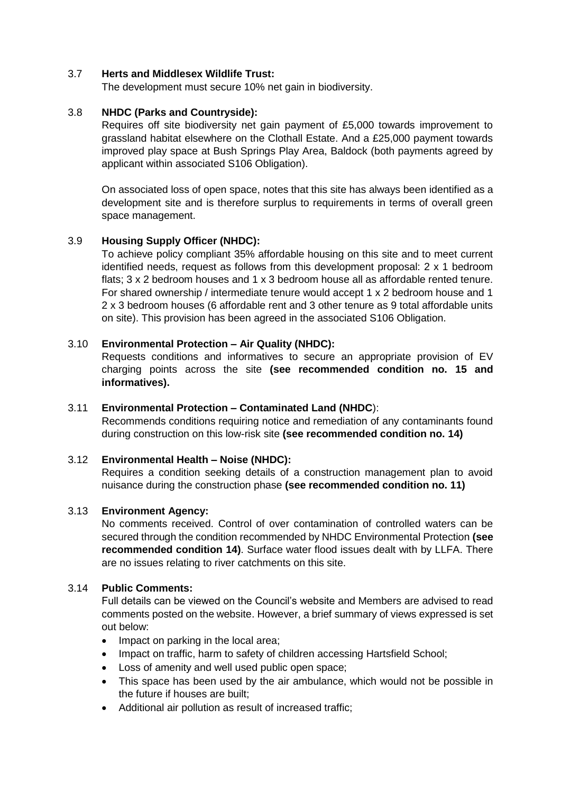#### 3.7 **Herts and Middlesex Wildlife Trust:**

The development must secure 10% net gain in biodiversity.

#### 3.8 **NHDC (Parks and Countryside):**

Requires off site biodiversity net gain payment of £5,000 towards improvement to grassland habitat elsewhere on the Clothall Estate. And a £25,000 payment towards improved play space at Bush Springs Play Area, Baldock (both payments agreed by applicant within associated S106 Obligation).

On associated loss of open space, notes that this site has always been identified as a development site and is therefore surplus to requirements in terms of overall green space management.

## 3.9 **Housing Supply Officer (NHDC):**

To achieve policy compliant 35% affordable housing on this site and to meet current identified needs, request as follows from this development proposal: 2 x 1 bedroom flats; 3 x 2 bedroom houses and 1 x 3 bedroom house all as affordable rented tenure. For shared ownership / intermediate tenure would accept 1 x 2 bedroom house and 1 2 x 3 bedroom houses (6 affordable rent and 3 other tenure as 9 total affordable units on site). This provision has been agreed in the associated S106 Obligation.

#### 3.10 **Environmental Protection – Air Quality (NHDC):**

Requests conditions and informatives to secure an appropriate provision of EV charging points across the site **(see recommended condition no. 15 and informatives).**

#### 3.11 **Environmental Protection – Contaminated Land (NHDC**):

Recommends conditions requiring notice and remediation of any contaminants found during construction on this low-risk site **(see recommended condition no. 14)**

#### 3.12 **Environmental Health – Noise (NHDC):**

Requires a condition seeking details of a construction management plan to avoid nuisance during the construction phase **(see recommended condition no. 11)**

#### 3.13 **Environment Agency:**

No comments received. Control of over contamination of controlled waters can be secured through the condition recommended by NHDC Environmental Protection **(see recommended condition 14)**. Surface water flood issues dealt with by LLFA. There are no issues relating to river catchments on this site.

#### 3.14 **Public Comments:**

Full details can be viewed on the Council's website and Members are advised to read comments posted on the website. However, a brief summary of views expressed is set out below:

- Impact on parking in the local area;
- Impact on traffic, harm to safety of children accessing Hartsfield School;
- Loss of amenity and well used public open space;
- This space has been used by the air ambulance, which would not be possible in the future if houses are built;
- Additional air pollution as result of increased traffic;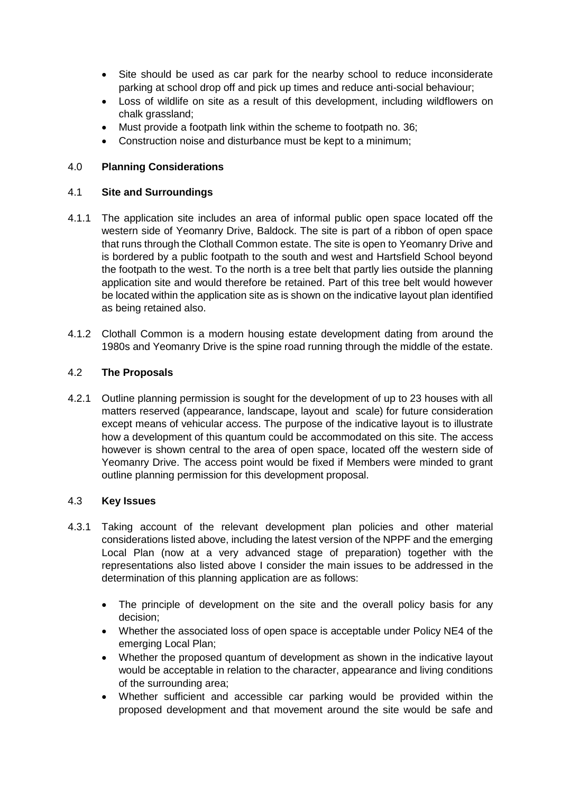- Site should be used as car park for the nearby school to reduce inconsiderate parking at school drop off and pick up times and reduce anti-social behaviour;
- Loss of wildlife on site as a result of this development, including wildflowers on chalk grassland;
- Must provide a footpath link within the scheme to footpath no. 36;
- Construction noise and disturbance must be kept to a minimum;

## 4.0 **Planning Considerations**

#### 4.1 **Site and Surroundings**

- 4.1.1 The application site includes an area of informal public open space located off the western side of Yeomanry Drive, Baldock. The site is part of a ribbon of open space that runs through the Clothall Common estate. The site is open to Yeomanry Drive and is bordered by a public footpath to the south and west and Hartsfield School beyond the footpath to the west. To the north is a tree belt that partly lies outside the planning application site and would therefore be retained. Part of this tree belt would however be located within the application site as is shown on the indicative layout plan identified as being retained also.
- 4.1.2 Clothall Common is a modern housing estate development dating from around the 1980s and Yeomanry Drive is the spine road running through the middle of the estate.

## 4.2 **The Proposals**

4.2.1 Outline planning permission is sought for the development of up to 23 houses with all matters reserved (appearance, landscape, layout and scale) for future consideration except means of vehicular access. The purpose of the indicative layout is to illustrate how a development of this quantum could be accommodated on this site. The access however is shown central to the area of open space, located off the western side of Yeomanry Drive. The access point would be fixed if Members were minded to grant outline planning permission for this development proposal.

#### 4.3 **Key Issues**

- 4.3.1 Taking account of the relevant development plan policies and other material considerations listed above, including the latest version of the NPPF and the emerging Local Plan (now at a very advanced stage of preparation) together with the representations also listed above I consider the main issues to be addressed in the determination of this planning application are as follows:
	- The principle of development on the site and the overall policy basis for any decision;
	- Whether the associated loss of open space is acceptable under Policy NE4 of the emerging Local Plan;
	- Whether the proposed quantum of development as shown in the indicative layout would be acceptable in relation to the character, appearance and living conditions of the surrounding area;
	- Whether sufficient and accessible car parking would be provided within the proposed development and that movement around the site would be safe and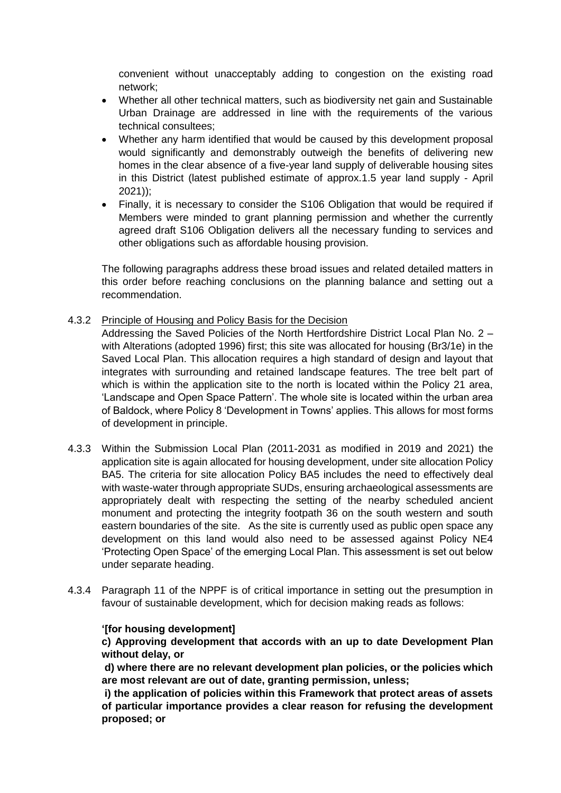convenient without unacceptably adding to congestion on the existing road network;

- Whether all other technical matters, such as biodiversity net gain and Sustainable Urban Drainage are addressed in line with the requirements of the various technical consultees;
- Whether any harm identified that would be caused by this development proposal would significantly and demonstrably outweigh the benefits of delivering new homes in the clear absence of a five-year land supply of deliverable housing sites in this District (latest published estimate of approx.1.5 year land supply - April 2021));
- Finally, it is necessary to consider the S106 Obligation that would be required if Members were minded to grant planning permission and whether the currently agreed draft S106 Obligation delivers all the necessary funding to services and other obligations such as affordable housing provision.

The following paragraphs address these broad issues and related detailed matters in this order before reaching conclusions on the planning balance and setting out a recommendation.

4.3.2 Principle of Housing and Policy Basis for the Decision

Addressing the Saved Policies of the North Hertfordshire District Local Plan No. 2 – with Alterations (adopted 1996) first; this site was allocated for housing (Br3/1e) in the Saved Local Plan. This allocation requires a high standard of design and layout that integrates with surrounding and retained landscape features. The tree belt part of which is within the application site to the north is located within the Policy 21 area, 'Landscape and Open Space Pattern'. The whole site is located within the urban area of Baldock, where Policy 8 'Development in Towns' applies. This allows for most forms of development in principle.

- 4.3.3 Within the Submission Local Plan (2011-2031 as modified in 2019 and 2021) the application site is again allocated for housing development, under site allocation Policy BA5. The criteria for site allocation Policy BA5 includes the need to effectively deal with waste-water through appropriate SUDs, ensuring archaeological assessments are appropriately dealt with respecting the setting of the nearby scheduled ancient monument and protecting the integrity footpath 36 on the south western and south eastern boundaries of the site. As the site is currently used as public open space any development on this land would also need to be assessed against Policy NE4 'Protecting Open Space' of the emerging Local Plan. This assessment is set out below under separate heading.
- 4.3.4 Paragraph 11 of the NPPF is of critical importance in setting out the presumption in favour of sustainable development, which for decision making reads as follows:

# **'[for housing development]**

**c) Approving development that accords with an up to date Development Plan without delay, or**

**d) where there are no relevant development plan policies, or the policies which are most relevant are out of date, granting permission, unless;**

**i) the application of policies within this Framework that protect areas of assets of particular importance provides a clear reason for refusing the development proposed; or**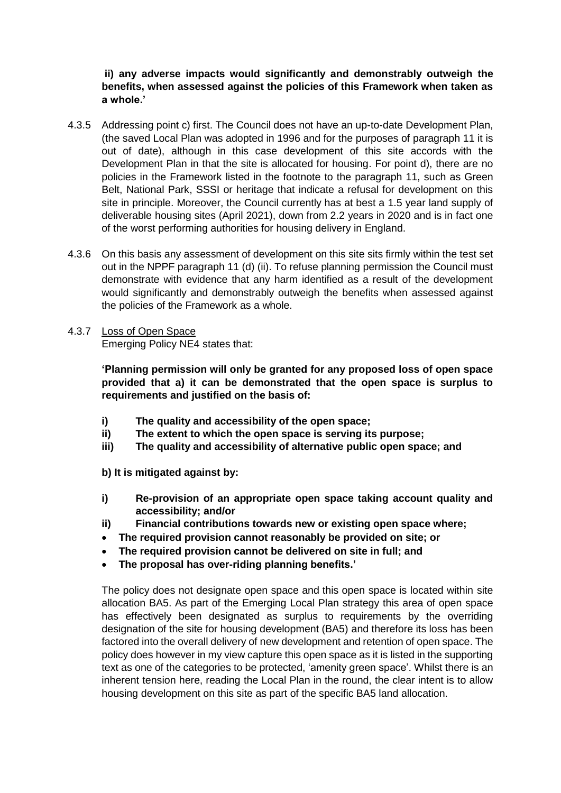## **ii) any adverse impacts would significantly and demonstrably outweigh the benefits, when assessed against the policies of this Framework when taken as a whole.'**

- 4.3.5 Addressing point c) first. The Council does not have an up-to-date Development Plan, (the saved Local Plan was adopted in 1996 and for the purposes of paragraph 11 it is out of date), although in this case development of this site accords with the Development Plan in that the site is allocated for housing. For point d), there are no policies in the Framework listed in the footnote to the paragraph 11, such as Green Belt, National Park, SSSI or heritage that indicate a refusal for development on this site in principle. Moreover, the Council currently has at best a 1.5 year land supply of deliverable housing sites (April 2021), down from 2.2 years in 2020 and is in fact one of the worst performing authorities for housing delivery in England.
- 4.3.6 On this basis any assessment of development on this site sits firmly within the test set out in the NPPF paragraph 11 (d) (ii). To refuse planning permission the Council must demonstrate with evidence that any harm identified as a result of the development would significantly and demonstrably outweigh the benefits when assessed against the policies of the Framework as a whole.

## 4.3.7 Loss of Open Space

Emerging Policy NE4 states that:

**'Planning permission will only be granted for any proposed loss of open space provided that a) it can be demonstrated that the open space is surplus to requirements and justified on the basis of:**

- **i) The quality and accessibility of the open space;**
- **ii) The extent to which the open space is serving its purpose;**
- **iii) The quality and accessibility of alternative public open space; and**

**b) It is mitigated against by:**

- **i) Re-provision of an appropriate open space taking account quality and accessibility; and/or**
- **ii) Financial contributions towards new or existing open space where;**
- **The required provision cannot reasonably be provided on site; or**
- **The required provision cannot be delivered on site in full; and**
- **The proposal has over-riding planning benefits.'**

The policy does not designate open space and this open space is located within site allocation BA5. As part of the Emerging Local Plan strategy this area of open space has effectively been designated as surplus to requirements by the overriding designation of the site for housing development (BA5) and therefore its loss has been factored into the overall delivery of new development and retention of open space. The policy does however in my view capture this open space as it is listed in the supporting text as one of the categories to be protected, 'amenity green space'. Whilst there is an inherent tension here, reading the Local Plan in the round, the clear intent is to allow housing development on this site as part of the specific BA5 land allocation.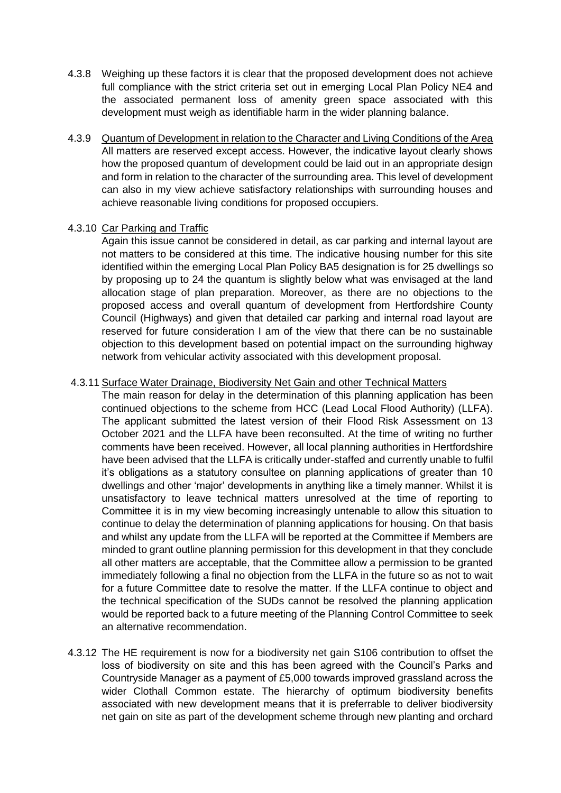- 4.3.8 Weighing up these factors it is clear that the proposed development does not achieve full compliance with the strict criteria set out in emerging Local Plan Policy NE4 and the associated permanent loss of amenity green space associated with this development must weigh as identifiable harm in the wider planning balance.
- 4.3.9 Quantum of Development in relation to the Character and Living Conditions of the Area All matters are reserved except access. However, the indicative layout clearly shows how the proposed quantum of development could be laid out in an appropriate design and form in relation to the character of the surrounding area. This level of development can also in my view achieve satisfactory relationships with surrounding houses and achieve reasonable living conditions for proposed occupiers.

#### 4.3.10 Car Parking and Traffic

Again this issue cannot be considered in detail, as car parking and internal layout are not matters to be considered at this time. The indicative housing number for this site identified within the emerging Local Plan Policy BA5 designation is for 25 dwellings so by proposing up to 24 the quantum is slightly below what was envisaged at the land allocation stage of plan preparation. Moreover, as there are no objections to the proposed access and overall quantum of development from Hertfordshire County Council (Highways) and given that detailed car parking and internal road layout are reserved for future consideration I am of the view that there can be no sustainable objection to this development based on potential impact on the surrounding highway network from vehicular activity associated with this development proposal.

#### 4.3.11 Surface Water Drainage, Biodiversity Net Gain and other Technical Matters

The main reason for delay in the determination of this planning application has been continued objections to the scheme from HCC (Lead Local Flood Authority) (LLFA). The applicant submitted the latest version of their Flood Risk Assessment on 13 October 2021 and the LLFA have been reconsulted. At the time of writing no further comments have been received. However, all local planning authorities in Hertfordshire have been advised that the LLFA is critically under-staffed and currently unable to fulfil it's obligations as a statutory consultee on planning applications of greater than 10 dwellings and other 'major' developments in anything like a timely manner. Whilst it is unsatisfactory to leave technical matters unresolved at the time of reporting to Committee it is in my view becoming increasingly untenable to allow this situation to continue to delay the determination of planning applications for housing. On that basis and whilst any update from the LLFA will be reported at the Committee if Members are minded to grant outline planning permission for this development in that they conclude all other matters are acceptable, that the Committee allow a permission to be granted immediately following a final no objection from the LLFA in the future so as not to wait for a future Committee date to resolve the matter. If the LLFA continue to object and the technical specification of the SUDs cannot be resolved the planning application would be reported back to a future meeting of the Planning Control Committee to seek an alternative recommendation.

4.3.12 The HE requirement is now for a biodiversity net gain S106 contribution to offset the loss of biodiversity on site and this has been agreed with the Council's Parks and Countryside Manager as a payment of £5,000 towards improved grassland across the wider Clothall Common estate. The hierarchy of optimum biodiversity benefits associated with new development means that it is preferrable to deliver biodiversity net gain on site as part of the development scheme through new planting and orchard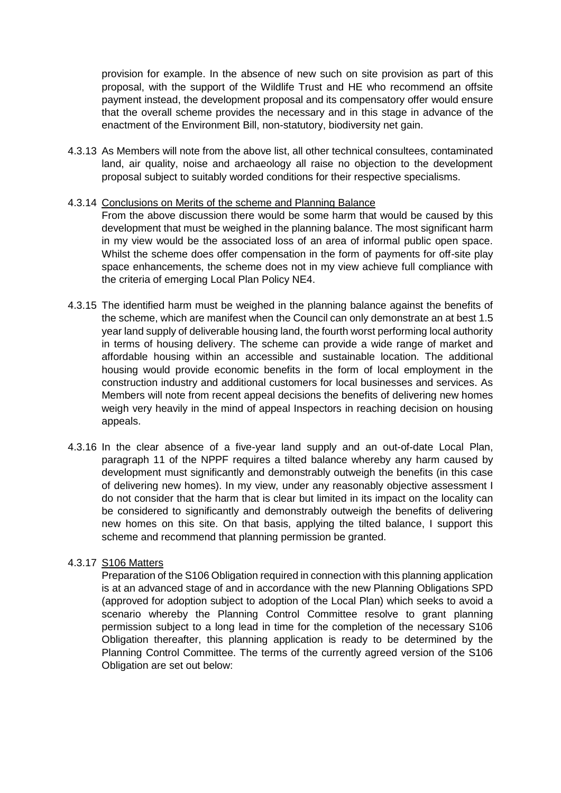provision for example. In the absence of new such on site provision as part of this proposal, with the support of the Wildlife Trust and HE who recommend an offsite payment instead, the development proposal and its compensatory offer would ensure that the overall scheme provides the necessary and in this stage in advance of the enactment of the Environment Bill, non-statutory, biodiversity net gain.

4.3.13 As Members will note from the above list, all other technical consultees, contaminated land, air quality, noise and archaeology all raise no objection to the development proposal subject to suitably worded conditions for their respective specialisms.

#### 4.3.14 Conclusions on Merits of the scheme and Planning Balance

From the above discussion there would be some harm that would be caused by this development that must be weighed in the planning balance. The most significant harm in my view would be the associated loss of an area of informal public open space. Whilst the scheme does offer compensation in the form of payments for off-site play space enhancements, the scheme does not in my view achieve full compliance with the criteria of emerging Local Plan Policy NE4.

- 4.3.15 The identified harm must be weighed in the planning balance against the benefits of the scheme, which are manifest when the Council can only demonstrate an at best 1.5 year land supply of deliverable housing land, the fourth worst performing local authority in terms of housing delivery. The scheme can provide a wide range of market and affordable housing within an accessible and sustainable location. The additional housing would provide economic benefits in the form of local employment in the construction industry and additional customers for local businesses and services. As Members will note from recent appeal decisions the benefits of delivering new homes weigh very heavily in the mind of appeal Inspectors in reaching decision on housing appeals.
- 4.3.16 In the clear absence of a five-year land supply and an out-of-date Local Plan, paragraph 11 of the NPPF requires a tilted balance whereby any harm caused by development must significantly and demonstrably outweigh the benefits (in this case of delivering new homes). In my view, under any reasonably objective assessment I do not consider that the harm that is clear but limited in its impact on the locality can be considered to significantly and demonstrably outweigh the benefits of delivering new homes on this site. On that basis, applying the tilted balance, I support this scheme and recommend that planning permission be granted.

#### 4.3.17 S106 Matters

Preparation of the S106 Obligation required in connection with this planning application is at an advanced stage of and in accordance with the new Planning Obligations SPD (approved for adoption subject to adoption of the Local Plan) which seeks to avoid a scenario whereby the Planning Control Committee resolve to grant planning permission subject to a long lead in time for the completion of the necessary S106 Obligation thereafter, this planning application is ready to be determined by the Planning Control Committee. The terms of the currently agreed version of the S106 Obligation are set out below: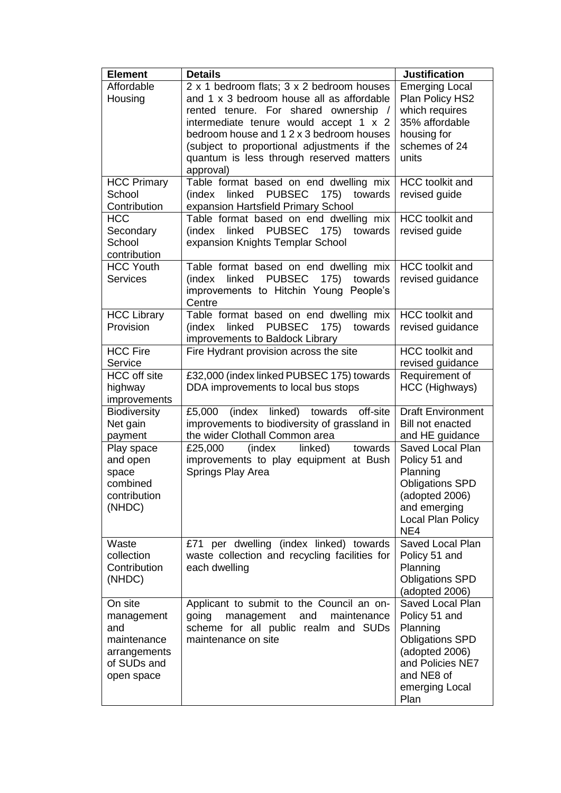| <b>Element</b>                                                                           | <b>Details</b>                                                                                                                                                                                                                                                       | <b>Justification</b>                                                                                                                                  |
|------------------------------------------------------------------------------------------|----------------------------------------------------------------------------------------------------------------------------------------------------------------------------------------------------------------------------------------------------------------------|-------------------------------------------------------------------------------------------------------------------------------------------------------|
| Affordable<br>Housing                                                                    | 2 x 1 bedroom flats; 3 x 2 bedroom houses<br>and 1 x 3 bedroom house all as affordable<br>rented tenure. For shared ownership /<br>intermediate tenure would accept 1 x 2<br>bedroom house and 1 2 x 3 bedroom houses<br>(subject to proportional adjustments if the | <b>Emerging Local</b><br>Plan Policy HS2<br>which requires<br>35% affordable<br>housing for<br>schemes of 24                                          |
|                                                                                          | quantum is less through reserved matters<br>approval)                                                                                                                                                                                                                | units                                                                                                                                                 |
| <b>HCC Primary</b><br>School<br>Contribution                                             | Table format based on end dwelling mix<br><b>PUBSEC</b><br>linked<br>175)<br>towards<br>(index<br>expansion Hartsfield Primary School                                                                                                                                | <b>HCC</b> toolkit and<br>revised guide                                                                                                               |
| <b>HCC</b><br>Secondary<br>School<br>contribution                                        | Table format based on end dwelling mix<br>linked<br>PUBSEC 175) towards<br>(index<br>expansion Knights Templar School                                                                                                                                                | <b>HCC</b> toolkit and<br>revised guide                                                                                                               |
| <b>HCC Youth</b><br><b>Services</b>                                                      | Table format based on end dwelling mix<br><b>PUBSEC</b><br>linked<br>175)<br>(index<br>towards<br>improvements to Hitchin Young People's<br>Centre                                                                                                                   | <b>HCC</b> toolkit and<br>revised guidance                                                                                                            |
| <b>HCC Library</b><br>Provision                                                          | Table format based on end dwelling mix<br>175)<br>linked<br><b>PUBSEC</b><br>towards<br>(index<br>improvements to Baldock Library                                                                                                                                    | <b>HCC</b> toolkit and<br>revised guidance                                                                                                            |
| <b>HCC Fire</b><br>Service                                                               | Fire Hydrant provision across the site                                                                                                                                                                                                                               | <b>HCC</b> toolkit and<br>revised guidance                                                                                                            |
| <b>HCC</b> off site<br>highway<br>improvements                                           | £32,000 (index linked PUBSEC 175) towards<br>DDA improvements to local bus stops                                                                                                                                                                                     | Requirement of<br>HCC (Highways)                                                                                                                      |
| <b>Biodiversity</b><br>Net gain<br>payment                                               | (index linked) towards off-site<br>£5,000<br>improvements to biodiversity of grassland in<br>the wider Clothall Common area                                                                                                                                          | <b>Draft Environment</b><br><b>Bill not enacted</b><br>and HE guidance                                                                                |
| Play space<br>and open<br>space<br>combined<br>contribution<br>(NHDC)                    | linked)<br>towards<br>(index<br>£25,000<br>improvements to play equipment at Bush<br>Springs Play Area                                                                                                                                                               | Saved Local Plan<br>Policy 51 and<br>Planning<br><b>Obligations SPD</b><br>(adopted 2006)<br>and emerging<br>Local Plan Policy<br>NE4                 |
| Waste<br>collection<br>Contribution<br>(NHDC)                                            | £71 per dwelling (index linked) towards<br>waste collection and recycling facilities for<br>each dwelling                                                                                                                                                            | Saved Local Plan<br>Policy 51 and<br>Planning<br><b>Obligations SPD</b><br>(adopted 2006)                                                             |
| On site<br>management<br>and<br>maintenance<br>arrangements<br>of SUDs and<br>open space | Applicant to submit to the Council an on-<br>maintenance<br>going<br>management<br>and<br>scheme for all public realm and SUDs<br>maintenance on site                                                                                                                | Saved Local Plan<br>Policy 51 and<br>Planning<br><b>Obligations SPD</b><br>(adopted 2006)<br>and Policies NE7<br>and NE8 of<br>emerging Local<br>Plan |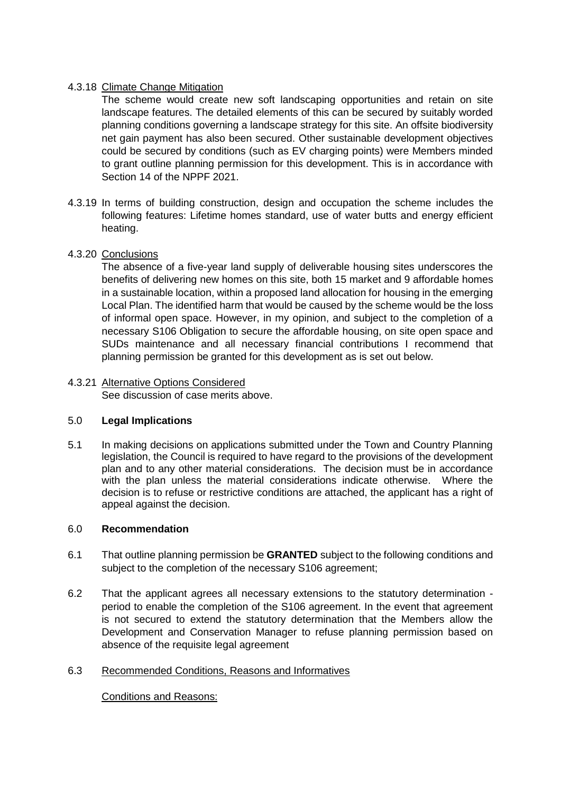## 4.3.18 Climate Change Mitigation

The scheme would create new soft landscaping opportunities and retain on site landscape features. The detailed elements of this can be secured by suitably worded planning conditions governing a landscape strategy for this site. An offsite biodiversity net gain payment has also been secured. Other sustainable development objectives could be secured by conditions (such as EV charging points) were Members minded to grant outline planning permission for this development. This is in accordance with Section 14 of the NPPF 2021.

4.3.19 In terms of building construction, design and occupation the scheme includes the following features: Lifetime homes standard, use of water butts and energy efficient heating.

## 4.3.20 Conclusions

The absence of a five-year land supply of deliverable housing sites underscores the benefits of delivering new homes on this site, both 15 market and 9 affordable homes in a sustainable location, within a proposed land allocation for housing in the emerging Local Plan. The identified harm that would be caused by the scheme would be the loss of informal open space. However, in my opinion, and subject to the completion of a necessary S106 Obligation to secure the affordable housing, on site open space and SUDs maintenance and all necessary financial contributions I recommend that planning permission be granted for this development as is set out below.

# 4.3.21 Alternative Options Considered

See discussion of case merits above.

#### 5.0 **Legal Implications**

5.1 In making decisions on applications submitted under the Town and Country Planning legislation, the Council is required to have regard to the provisions of the development plan and to any other material considerations. The decision must be in accordance with the plan unless the material considerations indicate otherwise. Where the decision is to refuse or restrictive conditions are attached, the applicant has a right of appeal against the decision.

#### 6.0 **Recommendation**

- 6.1 That outline planning permission be **GRANTED** subject to the following conditions and subject to the completion of the necessary S106 agreement:
- 6.2 That the applicant agrees all necessary extensions to the statutory determination period to enable the completion of the S106 agreement. In the event that agreement is not secured to extend the statutory determination that the Members allow the Development and Conservation Manager to refuse planning permission based on absence of the requisite legal agreement

#### 6.3 Recommended Conditions, Reasons and Informatives

Conditions and Reasons: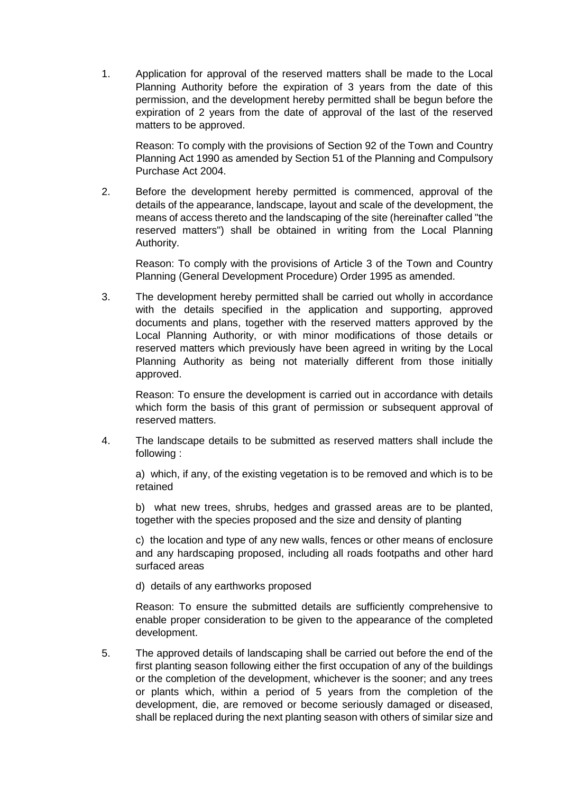1. Application for approval of the reserved matters shall be made to the Local Planning Authority before the expiration of 3 years from the date of this permission, and the development hereby permitted shall be begun before the expiration of 2 years from the date of approval of the last of the reserved matters to be approved.

Reason: To comply with the provisions of Section 92 of the Town and Country Planning Act 1990 as amended by Section 51 of the Planning and Compulsory Purchase Act 2004.

2. Before the development hereby permitted is commenced, approval of the details of the appearance, landscape, layout and scale of the development, the means of access thereto and the landscaping of the site (hereinafter called "the reserved matters") shall be obtained in writing from the Local Planning Authority.

Reason: To comply with the provisions of Article 3 of the Town and Country Planning (General Development Procedure) Order 1995 as amended.

3. The development hereby permitted shall be carried out wholly in accordance with the details specified in the application and supporting, approved documents and plans, together with the reserved matters approved by the Local Planning Authority, or with minor modifications of those details or reserved matters which previously have been agreed in writing by the Local Planning Authority as being not materially different from those initially approved.

Reason: To ensure the development is carried out in accordance with details which form the basis of this grant of permission or subsequent approval of reserved matters.

4. The landscape details to be submitted as reserved matters shall include the following :

a) which, if any, of the existing vegetation is to be removed and which is to be retained

b) what new trees, shrubs, hedges and grassed areas are to be planted, together with the species proposed and the size and density of planting

c) the location and type of any new walls, fences or other means of enclosure and any hardscaping proposed, including all roads footpaths and other hard surfaced areas

d) details of any earthworks proposed

Reason: To ensure the submitted details are sufficiently comprehensive to enable proper consideration to be given to the appearance of the completed development.

5. The approved details of landscaping shall be carried out before the end of the first planting season following either the first occupation of any of the buildings or the completion of the development, whichever is the sooner; and any trees or plants which, within a period of 5 years from the completion of the development, die, are removed or become seriously damaged or diseased, shall be replaced during the next planting season with others of similar size and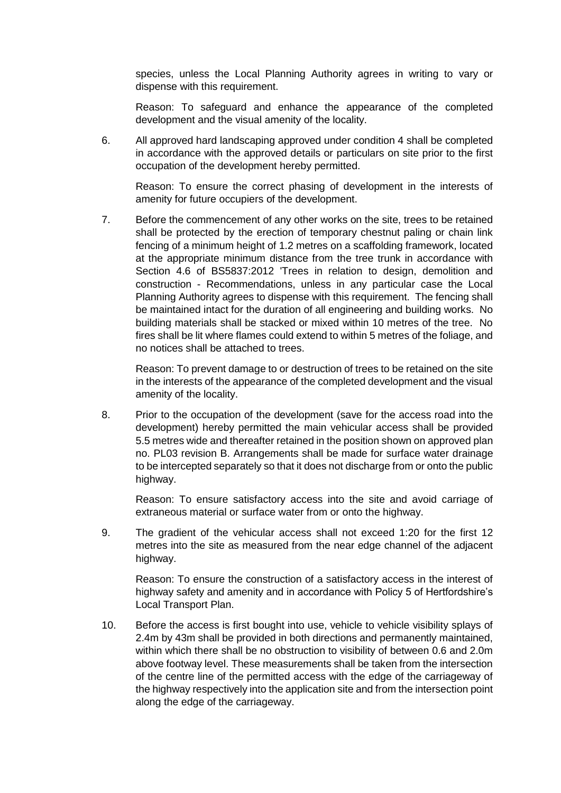species, unless the Local Planning Authority agrees in writing to vary or dispense with this requirement.

Reason: To safeguard and enhance the appearance of the completed development and the visual amenity of the locality.

6. All approved hard landscaping approved under condition 4 shall be completed in accordance with the approved details or particulars on site prior to the first occupation of the development hereby permitted.

Reason: To ensure the correct phasing of development in the interests of amenity for future occupiers of the development.

7. Before the commencement of any other works on the site, trees to be retained shall be protected by the erection of temporary chestnut paling or chain link fencing of a minimum height of 1.2 metres on a scaffolding framework, located at the appropriate minimum distance from the tree trunk in accordance with Section 4.6 of BS5837:2012 'Trees in relation to design, demolition and construction - Recommendations, unless in any particular case the Local Planning Authority agrees to dispense with this requirement. The fencing shall be maintained intact for the duration of all engineering and building works. No building materials shall be stacked or mixed within 10 metres of the tree. No fires shall be lit where flames could extend to within 5 metres of the foliage, and no notices shall be attached to trees.

Reason: To prevent damage to or destruction of trees to be retained on the site in the interests of the appearance of the completed development and the visual amenity of the locality.

8. Prior to the occupation of the development (save for the access road into the development) hereby permitted the main vehicular access shall be provided 5.5 metres wide and thereafter retained in the position shown on approved plan no. PL03 revision B. Arrangements shall be made for surface water drainage to be intercepted separately so that it does not discharge from or onto the public highway.

Reason: To ensure satisfactory access into the site and avoid carriage of extraneous material or surface water from or onto the highway.

9. The gradient of the vehicular access shall not exceed 1:20 for the first 12 metres into the site as measured from the near edge channel of the adjacent highway.

Reason: To ensure the construction of a satisfactory access in the interest of highway safety and amenity and in accordance with Policy 5 of Hertfordshire's Local Transport Plan.

10. Before the access is first bought into use, vehicle to vehicle visibility splays of 2.4m by 43m shall be provided in both directions and permanently maintained, within which there shall be no obstruction to visibility of between 0.6 and 2.0m above footway level. These measurements shall be taken from the intersection of the centre line of the permitted access with the edge of the carriageway of the highway respectively into the application site and from the intersection point along the edge of the carriageway.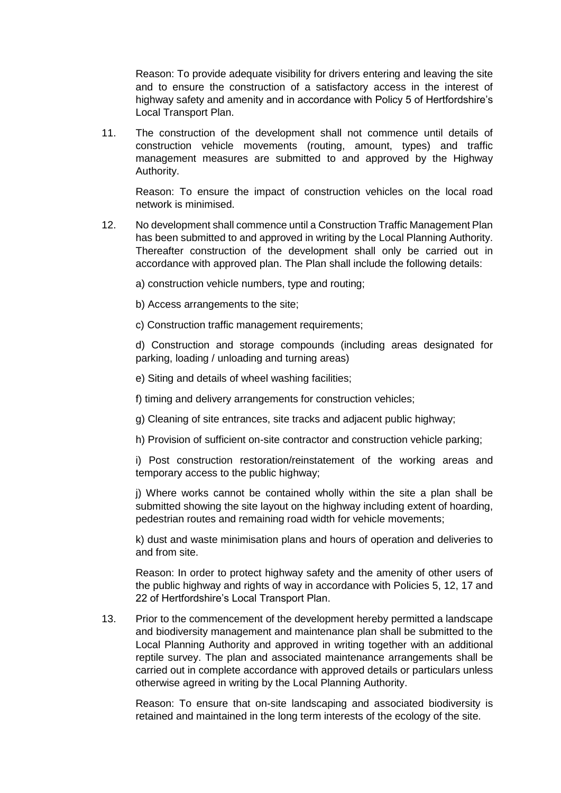Reason: To provide adequate visibility for drivers entering and leaving the site and to ensure the construction of a satisfactory access in the interest of highway safety and amenity and in accordance with Policy 5 of Hertfordshire's Local Transport Plan.

11. The construction of the development shall not commence until details of construction vehicle movements (routing, amount, types) and traffic management measures are submitted to and approved by the Highway Authority.

Reason: To ensure the impact of construction vehicles on the local road network is minimised.

- 12. No development shall commence until a Construction Traffic Management Plan has been submitted to and approved in writing by the Local Planning Authority. Thereafter construction of the development shall only be carried out in accordance with approved plan. The Plan shall include the following details:
	- a) construction vehicle numbers, type and routing;
	- b) Access arrangements to the site;

c) Construction traffic management requirements;

d) Construction and storage compounds (including areas designated for parking, loading / unloading and turning areas)

e) Siting and details of wheel washing facilities;

f) timing and delivery arrangements for construction vehicles;

g) Cleaning of site entrances, site tracks and adjacent public highway;

h) Provision of sufficient on-site contractor and construction vehicle parking;

i) Post construction restoration/reinstatement of the working areas and temporary access to the public highway;

j) Where works cannot be contained wholly within the site a plan shall be submitted showing the site layout on the highway including extent of hoarding, pedestrian routes and remaining road width for vehicle movements;

k) dust and waste minimisation plans and hours of operation and deliveries to and from site.

Reason: In order to protect highway safety and the amenity of other users of the public highway and rights of way in accordance with Policies 5, 12, 17 and 22 of Hertfordshire's Local Transport Plan.

13. Prior to the commencement of the development hereby permitted a landscape and biodiversity management and maintenance plan shall be submitted to the Local Planning Authority and approved in writing together with an additional reptile survey. The plan and associated maintenance arrangements shall be carried out in complete accordance with approved details or particulars unless otherwise agreed in writing by the Local Planning Authority.

Reason: To ensure that on-site landscaping and associated biodiversity is retained and maintained in the long term interests of the ecology of the site.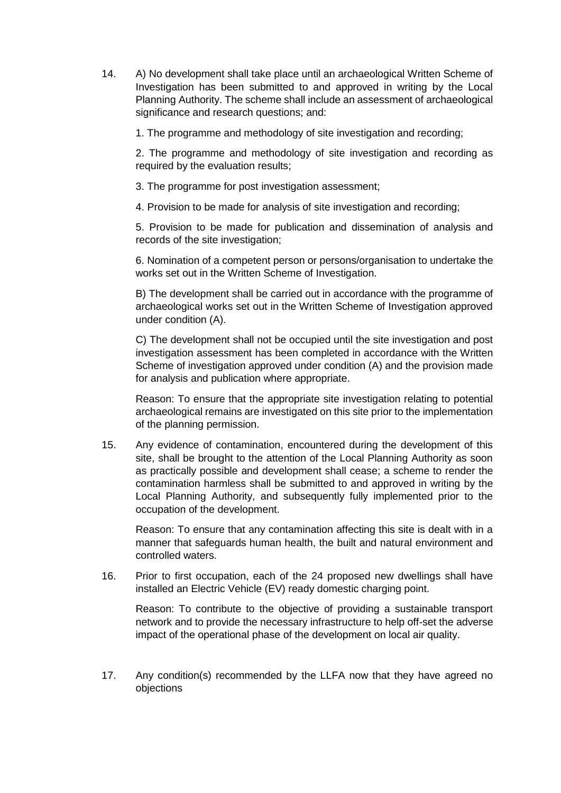14. A) No development shall take place until an archaeological Written Scheme of Investigation has been submitted to and approved in writing by the Local Planning Authority. The scheme shall include an assessment of archaeological significance and research questions; and:

1. The programme and methodology of site investigation and recording;

2. The programme and methodology of site investigation and recording as required by the evaluation results;

3. The programme for post investigation assessment;

4. Provision to be made for analysis of site investigation and recording;

5. Provision to be made for publication and dissemination of analysis and records of the site investigation;

6. Nomination of a competent person or persons/organisation to undertake the works set out in the Written Scheme of Investigation.

B) The development shall be carried out in accordance with the programme of archaeological works set out in the Written Scheme of Investigation approved under condition (A).

C) The development shall not be occupied until the site investigation and post investigation assessment has been completed in accordance with the Written Scheme of investigation approved under condition (A) and the provision made for analysis and publication where appropriate.

Reason: To ensure that the appropriate site investigation relating to potential archaeological remains are investigated on this site prior to the implementation of the planning permission.

15. Any evidence of contamination, encountered during the development of this site, shall be brought to the attention of the Local Planning Authority as soon as practically possible and development shall cease; a scheme to render the contamination harmless shall be submitted to and approved in writing by the Local Planning Authority, and subsequently fully implemented prior to the occupation of the development.

Reason: To ensure that any contamination affecting this site is dealt with in a manner that safeguards human health, the built and natural environment and controlled waters.

16. Prior to first occupation, each of the 24 proposed new dwellings shall have installed an Electric Vehicle (EV) ready domestic charging point.

Reason: To contribute to the objective of providing a sustainable transport network and to provide the necessary infrastructure to help off-set the adverse impact of the operational phase of the development on local air quality.

17. Any condition(s) recommended by the LLFA now that they have agreed no objections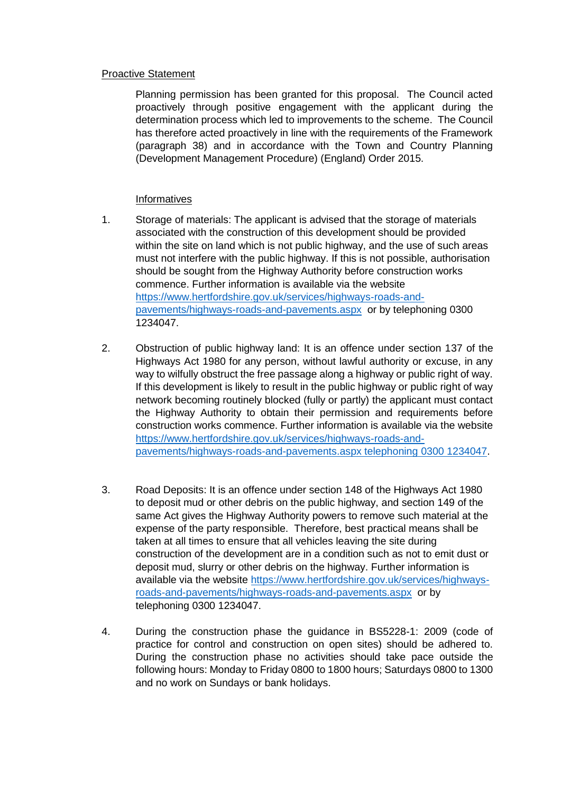#### Proactive Statement

Planning permission has been granted for this proposal. The Council acted proactively through positive engagement with the applicant during the determination process which led to improvements to the scheme. The Council has therefore acted proactively in line with the requirements of the Framework (paragraph 38) and in accordance with the Town and Country Planning (Development Management Procedure) (England) Order 2015.

#### **Informatives**

- 1. Storage of materials: The applicant is advised that the storage of materials associated with the construction of this development should be provided within the site on land which is not public highway, and the use of such areas must not interfere with the public highway. If this is not possible, authorisation should be sought from the Highway Authority before construction works commence. Further information is available via the website [https://www.hertfordshire.gov.uk/services/highways-roads-and](https://www.hertfordshire.gov.uk/services/highways-roads-and-pavements/highways-roads-and-pavements.aspx)[pavements/highways-roads-and-pavements.aspx](https://www.hertfordshire.gov.uk/services/highways-roads-and-pavements/highways-roads-and-pavements.aspx) or by telephoning 0300 1234047.
- 2. Obstruction of public highway land: It is an offence under section 137 of the Highways Act 1980 for any person, without lawful authority or excuse, in any way to wilfully obstruct the free passage along a highway or public right of way. If this development is likely to result in the public highway or public right of way network becoming routinely blocked (fully or partly) the applicant must contact the Highway Authority to obtain their permission and requirements before construction works commence. Further information is available via the website [https://www.hertfordshire.gov.uk/services/highways-roads-and](https://www.hertfordshire.gov.uk/services/highways-roads-and-pavements/highways-roads-and-pavements.aspx%20telephoning%200300%201234047)[pavements/highways-roads-and-pavements.aspx telephoning 0300 1234047.](https://www.hertfordshire.gov.uk/services/highways-roads-and-pavements/highways-roads-and-pavements.aspx%20telephoning%200300%201234047)
- 3. Road Deposits: It is an offence under section 148 of the Highways Act 1980 to deposit mud or other debris on the public highway, and section 149 of the same Act gives the Highway Authority powers to remove such material at the expense of the party responsible. Therefore, best practical means shall be taken at all times to ensure that all vehicles leaving the site during construction of the development are in a condition such as not to emit dust or deposit mud, slurry or other debris on the highway. Further information is available via the website [https://www.hertfordshire.gov.uk/services/highways](https://www.hertfordshire.gov.uk/services/highways-roads-and-pavements/highways-roads-and-pavements.aspx)[roads-and-pavements/highways-roads-and-pavements.aspx](https://www.hertfordshire.gov.uk/services/highways-roads-and-pavements/highways-roads-and-pavements.aspx) or by telephoning 0300 1234047.
- 4. During the construction phase the guidance in BS5228-1: 2009 (code of practice for control and construction on open sites) should be adhered to. During the construction phase no activities should take pace outside the following hours: Monday to Friday 0800 to 1800 hours; Saturdays 0800 to 1300 and no work on Sundays or bank holidays.